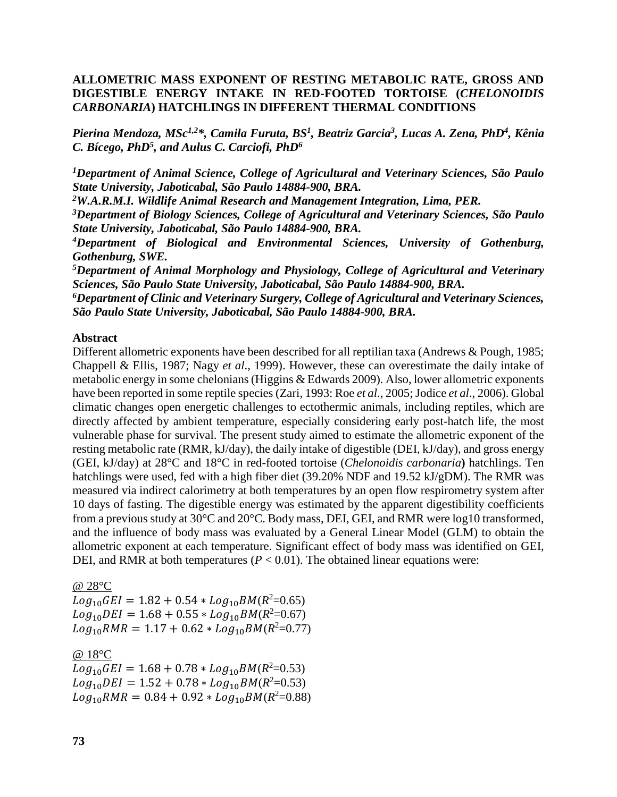## **ALLOMETRIC MASS EXPONENT OF RESTING METABOLIC RATE, GROSS AND DIGESTIBLE ENERGY INTAKE IN RED-FOOTED TORTOISE (***CHELONOIDIS CARBONARIA***) HATCHLINGS IN DIFFERENT THERMAL CONDITIONS**

Pierina Mendoza, MSc<sup>1,2\*</sup>, Camila Furuta, BS<sup>1</sup>, Beatriz Garcia<sup>3</sup>, Lucas A. Zena, PhD<sup>4</sup>, Kênia *C. Bícego, PhD<sup>5</sup> , and Aulus C. Carciofi, PhD<sup>6</sup>*

*<sup>1</sup>Department of Animal Science, College of Agricultural and Veterinary Sciences, São Paulo State University, Jaboticabal, São Paulo 14884-900, BRA.*

*<sup>2</sup>W.A.R.M.I. Wildlife Animal Research and Management Integration, Lima, PER.*

*<sup>3</sup>Department of Biology Sciences, College of Agricultural and Veterinary Sciences, São Paulo State University, Jaboticabal, São Paulo 14884-900, BRA.*

*<sup>4</sup>Department of Biological and Environmental Sciences, University of Gothenburg, Gothenburg, SWE.*

*<sup>5</sup>Department of Animal Morphology and Physiology, College of Agricultural and Veterinary Sciences, São Paulo State University, Jaboticabal, São Paulo 14884-900, BRA.*

*<sup>6</sup>Department of Clinic and Veterinary Surgery, College of Agricultural and Veterinary Sciences, São Paulo State University, Jaboticabal, São Paulo 14884-900, BRA.*

## **Abstract**

Different allometric exponents have been described for all reptilian taxa (Andrews & Pough, 1985; Chappell & Ellis, 1987; Nagy *et al*., 1999). However, these can overestimate the daily intake of metabolic energy in some chelonians(Higgins & Edwards 2009). Also, lower allometric exponents have been reported in some reptile species (Zari, 1993: Roe *et al.*, 2005; Jodice *et al.*, 2006). Global climatic changes open energetic challenges to ectothermic animals, including reptiles, which are directly affected by ambient temperature, especially considering early post-hatch life, the most vulnerable phase for survival. The present study aimed to estimate the allometric exponent of the resting metabolic rate (RMR, kJ/day), the daily intake of digestible (DEI, kJ/day), and gross energy (GEI, kJ/day) at 28°C and 18°C in red-footed tortoise (*Chelonoidis carbonaria***)** hatchlings. Ten hatchlings were used, fed with a high fiber diet (39.20% NDF and 19.52 kJ/gDM). The RMR was measured via indirect calorimetry at both temperatures by an open flow respirometry system after 10 days of fasting. The digestible energy was estimated by the apparent digestibility coefficients from a previous study at 30°C and 20°C. Body mass, DEI, GEI, and RMR were log10 transformed, and the influence of body mass was evaluated by a General Linear Model (GLM) to obtain the allometric exponent at each temperature. Significant effect of body mass was identified on GEI, DEI, and RMR at both temperatures  $(P < 0.01)$ . The obtained linear equations were:

@ 28°C  $Log_{10}GEI = 1.82 + 0.54 * Log_{10}BM(R^2=0.65)$  $Log_{10}DEI = 1.68 + 0.55 * Log_{10}BM(R^2=0.67)$  $Log_{10} RMR = 1.17 + 0.62 * Log_{10} BM(R^2=0.77)$ 

@ 18°C  $Log_{10}GEI = 1.68 + 0.78 * Log_{10}BM(R^2=0.53)$  $Log_{10}DEI = 1.52 + 0.78 * Log_{10}BM(R^2=0.53)$  $Log_{10} RMR = 0.84 + 0.92 * Log_{10} BM(R^2=0.88)$